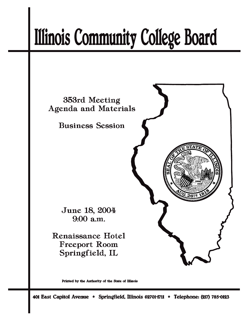# **Illinois Community College Board**



Printed by the Authority of the State of Illinois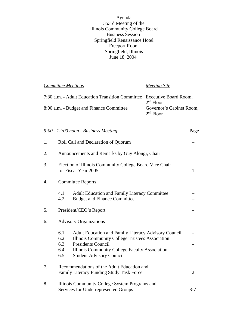Agenda 353rd Meeting of the Illinois Community College Board Business Session Springfield Renaissance Hotel Freeport Room Springfield, Illinois June 18, 2004

*Committee Meetings Meeting Site* 7:30 a.m. - Adult Education Transition Committee Executive Board Room, 2<sup>nd</sup> Floor<br>Governor's Cabinet Room, 8:00 a.m. - Budget and Finance Committee 2nd Floor

|    | $9:00 - 12:00$ noon - Business Meeting                                                                                                                                                                                                                       | <u>Page</u> |  |  |
|----|--------------------------------------------------------------------------------------------------------------------------------------------------------------------------------------------------------------------------------------------------------------|-------------|--|--|
| 1. | Roll Call and Declaration of Quorum                                                                                                                                                                                                                          |             |  |  |
| 2. | Announcements and Remarks by Guy Alongi, Chair                                                                                                                                                                                                               |             |  |  |
| 3. | Election of Illinois Community College Board Vice Chair<br>for Fiscal Year 2005                                                                                                                                                                              |             |  |  |
| 4. | <b>Committee Reports</b>                                                                                                                                                                                                                                     |             |  |  |
|    | 4.1<br><b>Adult Education and Family Literacy Committee</b><br>4.2<br><b>Budget and Finance Committee</b>                                                                                                                                                    |             |  |  |
| 5. | President/CEO's Report                                                                                                                                                                                                                                       |             |  |  |
| 6. | <b>Advisory Organizations</b>                                                                                                                                                                                                                                |             |  |  |
|    | 6.1<br>Adult Education and Family Literacy Advisory Council<br>6.2<br>Illinois Community College Trustees Association<br>6.3<br><b>Presidents Council</b><br>6.4<br>Illinois Community College Faculty Association<br>6.5<br><b>Student Advisory Council</b> |             |  |  |
| 7. | Recommendations of the Adult Education and<br>Family Literacy Funding Study Task Force                                                                                                                                                                       |             |  |  |
| 8. | Illinois Community College System Programs and<br>Services for Underrepresented Groups<br>$3 - 7$                                                                                                                                                            |             |  |  |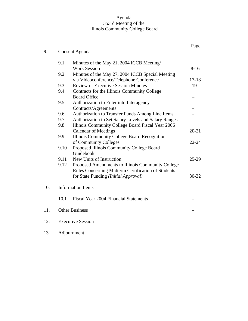#### Agenda 353rd Meeting of the Illinois Community College Board

|     |                          |                                                                       | Page      |  |  |
|-----|--------------------------|-----------------------------------------------------------------------|-----------|--|--|
| 9.  | <b>Consent Agenda</b>    |                                                                       |           |  |  |
|     | 9.1                      | Minutes of the May 21, 2004 ICCB Meeting/                             |           |  |  |
|     |                          | <b>Work Session</b>                                                   | $8-16$    |  |  |
|     | 9.2                      | Minutes of the May 27, 2004 ICCB Special Meeting                      |           |  |  |
|     |                          | via Videoconference/Telephone Conference                              | $17 - 18$ |  |  |
|     | 9.3                      | <b>Review of Executive Session Minutes</b>                            | 19        |  |  |
|     | 9.4                      | Contracts for the Illinois Community College                          |           |  |  |
|     |                          | <b>Board Office</b>                                                   |           |  |  |
|     | 9.5                      | Authorization to Enter into Interagency                               |           |  |  |
|     |                          | Contracts/Agreements                                                  |           |  |  |
|     | 9.6                      | Authorization to Transfer Funds Among Line Items                      |           |  |  |
|     | 9.7                      | Authorization to Set Salary Levels and Salary Ranges                  |           |  |  |
|     | 9.8                      | Illinois Community College Board Fiscal Year 2006                     |           |  |  |
|     | 9.9                      | <b>Calendar of Meetings</b>                                           | $20 - 21$ |  |  |
|     |                          | Illinois Community College Board Recognition<br>of Community Colleges | $22 - 24$ |  |  |
|     | 9.10                     | Proposed Illinois Community College Board                             |           |  |  |
|     |                          | Guidebook                                                             |           |  |  |
|     | 9.11                     | New Units of Instruction                                              | $25-29$   |  |  |
|     | 9.12                     | Proposed Amendments to Illinois Community College                     |           |  |  |
|     |                          | Rules Concerning Midterm Certification of Students                    |           |  |  |
|     |                          | for State Funding (Initial Approval)                                  | $30 - 32$ |  |  |
|     |                          |                                                                       |           |  |  |
| 10. |                          | <b>Information Items</b>                                              |           |  |  |
|     |                          |                                                                       |           |  |  |
|     | 10.1                     | <b>Fiscal Year 2004 Financial Statements</b>                          |           |  |  |
| 11. | <b>Other Business</b>    |                                                                       |           |  |  |
|     |                          |                                                                       |           |  |  |
| 12. | <b>Executive Session</b> |                                                                       |           |  |  |
| 13. | Adjournment              |                                                                       |           |  |  |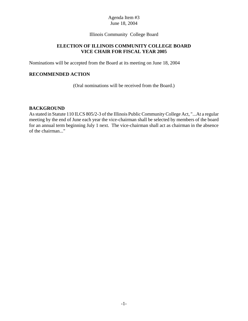Illinois Community College Board

## **ELECTION OF ILLINOIS COMMUNITY COLLEGE BOARD VICE CHAIR FOR FISCAL YEAR 2005**

Nominations will be accepted from the Board at its meeting on June 18, 2004

#### **RECOMMENDED ACTION**

(Oral nominations will be received from the Board.)

#### **BACKGROUND**

As stated in Statute 110 ILCS 805/2-3 of the Illinois Public Community College Act, "...At a regular meeting by the end of June each year the vice-chairman shall be selected by members of the board for an annual term beginning July 1 next. The vice-chairman shall act as chairman in the absence of the chairman..."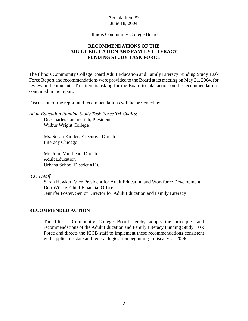Illinois Community College Board

## **RECOMMENDATIONS OF THE ADULT EDUCATION AND FAMILY LITERACY FUNDING STUDY TASK FORCE**

The Illinois Community College Board Adult Education and Family Literacy Funding Study Task Force Report and recommendations were provided to the Board at its meeting on May 21, 2004, for review and comment. This item is asking for the Board to take action on the recommendations contained in the report.

Discussion of the report and recommendations will be presented by:

*Adult Education Funding Study Task Force Tri-Chairs*: Dr. Charles Guengerich, President Wilbur Wright College

> Ms. Susan Kidder, Executive Director Literacy Chicago

Mr. John Muirhead, Director Adult Education Urbana School District #116

#### *ICCB Staff*:

Sarah Hawker, Vice President for Adult Education and Workforce Development Don Wilske, Chief Financial Officer Jennifer Foster, Senior Director for Adult Education and Family Literacy

#### **RECOMMENDED ACTION**

The Illinois Community College Board hereby adopts the principles and recommendations of the Adult Education and Family Literacy Funding Study Task Force and directs the ICCB staff to implement these recommendations consistent with applicable state and federal legislation beginning in fiscal year 2006.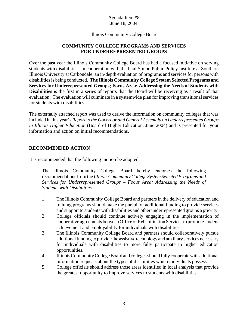## Illinois Community College Board

## **COMMUNITY COLLEGE PROGRAMS AND SERVICES FOR UNDERREPRESENTED GROUPS**

Over the past year the Illinois Community College Board has had a focused initiative on serving students with disabilities. In cooperation with the Paul Simon Public Policy Institute at Southern Illinois University at Carbondale, an in-depth evaluation of programs and services for persons with disabilities is being conducted. **The Illinois Community College System Selected Programs and Services for Underrepresented Groups; Focus Area: Addressing the Needs of Students with Disabilities** is the first in a series of reports that the Board will be receiving as a result of that evaluation. The evaluation will culminate in a systemwide plan for improving transitional services for students with disabilities.

The externally attached report was used to derive the information on community colleges that was included in this year's *Report to the Governor and General Assembly on Underrepresented Groups in Illinois Higher Education* (Board of Higher Education, June 2004) and is presented for your information and action on initial recommendations.

## **RECOMMENDED ACTION**

It is recommended that the following motion be adopted:

The Illinois Community College Board hereby endorses the following recommendations from the *Illinois Community College System Selected Programs and Services for Underrepresented Groups – Focus Area: Addressing the Needs of Students with Disabilities*.

- 1. The Illinois Community College Board and partners in the delivery of education and training programs should make the pursuit of additional funding to provide services and support to students with disabilities and other underrepresented groups a priority.
- 2. College officials should continue actively engaging in the implementation of cooperative agreements between Office of Rehabilitation Services to promote student achievement and employability for individuals with disabilities.
- 3. The Illinois Community College Board and partners should collaboratively pursue additional funding to provide the assistive technology and auxiliary services necessary for individuals with disabilities to more fully participate in higher education opportunities.
- 4. Illinois Community College Board and colleges should fully cooperate with additional information requests about the types of disabilities which individuals possess.
- 5. College officials should address those areas identified in local analysis that provide the greatest opportunity to improve services to students with disabilities.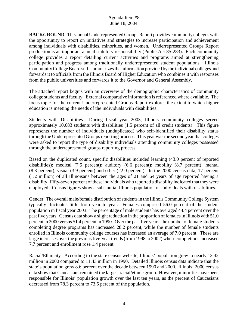**BACKGROUND**. The annual Underrepresented Groups Report provides community colleges with the opportunity to report on initiatives and strategies to increase participation and achievement among individuals with disabilities, minorities, and women. Underrepresented Groups Report production is an important annual statutory responsibility (Public Act 85-283). Each community college provides a report detailing current activities and programs aimed at strengthening participation and progress among traditionally underrepresented student populations. Illinois Community College Board staff summarizes the information provided by the individual colleges and forwards it to officials from the Illinois Board of Higher Education who combines it with responses from the public universities and forwards it to the Governor and General Assembly.

The attached report begins with an overview of the demographic characteristics of community college students and faculty. External comparative information is referenced where available. The focus topic for the current Underrepresented Groups Report explores the extent to which higher education is meeting the needs of the individuals with disabilities.

Students with Disabilities During fiscal year 2003, Illinois community colleges served approximately 10,683 students with disabilities (1.5 percent of all credit students). This figure represents the number of individuals (unduplicated) who self-identified their disability status through the Underepresented Groups reporting process. This year was the second year that colleges were asked to report the type of disability individuals attending community colleges possessed through the underrepresented groups reporting process.

Based on the duplicated count, specific disabilities included learning (43.0 percent of reported disabilities); medical (7.5 percent); auditory (6.6 percent); mobility (8.7 percent); mental (8.3 percent); visual (3.9 percent) and other (22.0 percent). In the 2000 census data, 17 percent (1.2 million) of all Illinoisans between the ages of 21 and 64 years of age reported having a disability. Fifty-seven percent of these individuals who reported a disability indicated that they were employed. Census figures show a substantial Illinois population of individuals with disabilities.

Gender The overall male/female distribution of students in the Illinois Community College System typically fluctuates little from year to year. Females comprised 56.0 percent of the student population in fiscal year 2003. The percentage of male students has averaged 44.4 percent over the past five years. Census data show a slight reduction in the proportion of females in Illinois with 51.0 percent in 2000 versus 51.4 percent in 1990. Over the past five years, the number of female students completing degree programs has increased 28.2 percent, while the number of female students enrolled in Illinois community college courses has increased an average of 7.0 percent. These are large increases over the previous five-year trends (from 1998 to 2002) when completions increased 7.7 percent and enrollment rose 1.4 percent.

Racial/Ethnicity According to the state census website, Illinois' population grew to nearly 12.42 million in 2000 compared to 11.43 million in 1990. Detailed Illinois census data indicate that the state's population grew 8.6 percent over the decade between 1990 and 2000. Illinois' 2000 census data show that Caucasians remained the largest racial/ethnic group. However, minorities have been responsible for Illinois' population growth over the last ten years, as the percent of Caucasians decreased from 78.3 percent to 73.5 percent of the population.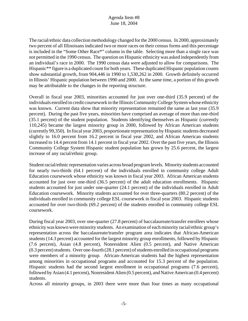The racial/ethnic data collection methodology changed for the 2000 census. In 2000, approximately two percent of all Illinoisans indicated two or more races on their census forms and this percentage is included in the "Some Other Race\*" column in the table. Selecting more than a single race was not permitted in the 1990 census. The question on Hispanic ethnicity was asked independently from an individual's race in 2000. The 1990 census data were adjusted to allow for comparisons. The Hispanic\*\* figure is a duplicated count for both years. These duplicated Hispanic population counts show substantial growth, from 904,446 in 1990 to 1,530,262 in 2000. Growth definitely occurred in Illinois' Hispanic population between 1990 and 2000. At the same time, a portion of this growth may be attributable to the changes in the reporting structure.

Overall in fiscal year 2003, minorities accounted for just over one-third (35.9 percent) of the individuals enrolled in credit coursework in the Illinois Community College System whose ethnicity was known. Current data show that minority representation remained the same as last year (35.9 percent). During the past five years, minorities have comprised an average of more than one-third (35.1 percent) of the student population. Students identifying themselves as Hispanic (currently 110,245) became the largest minority group in 2000, followed by African American students (currently 99,350). In fiscal year 2003, proportionate representation by Hispanic students decreased slightly to 16.0 percent from 16.2 percent in fiscal year 2002, and African American students increased to 14.4 percent from 14.1 percent in fiscal year 2002. Over the past five years, the Illinois Community College System Hispanic student population has grown by 25.6 percent, the largest increase of any racial/ethnic group.

Student racial/ethnic representation varies across broad program levels. Minority students accounted for nearly two-thirds (64.1 percent) of the individuals enrolled in community college Adult Education coursework whose ethnicity was known in fiscal year 2003. African American students accounted for just over one-third (36.5 percent) of the adult education enrollments. Hispanic students accounted for just under one-quarter (24.1 percent) of the individuals enrolled in Adult Education coursework. Minority students accounted for over three-quarters (80.2 percent) of the individuals enrolled in community college ESL coursework in fiscal year 2003. Hispanic students accounted for over two-thirds (69.2 percent) of the students enrolled in community college ESL coursework.

During fiscal year 2003, over one-quarter (27.8 percent) of baccalaureate/transfer enrollees whose ethnicity was known were minority students. An examination of each minority racial/ethnic group's representation across the baccalaureate/transfer program area indicates that African-American students (14.3 percent) accounted for the largest minority group enrollments, followed by Hispanic (7.6 percent), Asian (4.8 percent), Nonresident Alien (0.5 percent), and Native American (0.3 percent) students. Over one-fourth (28.1 percent) of students enrolled in occupational programs were members of a minority group. African-American students had the highest representation among minorities in occupational programs and accounted for 15.3 percent of the population. Hispanic students had the second largest enrollment in occupational programs (7.6 percent), followed by Asian (4.1 percent), Nonresident Alien (0.5 percent), and Native American (0.4 percent) students.

Across all minority groups, in 2003 there were more than four times as many occupational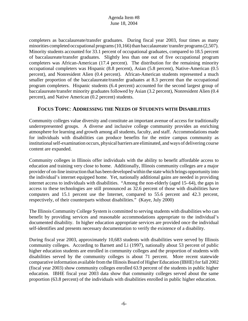completers as baccalaureate/transfer graduates. During fiscal year 2003, four times as many minorities completed occupational programs (10,166) than baccalaureate/ transfer programs (2,507). Minority students accounted for 33.1 percent of occupational graduates, compared to 18.5 percent of baccalaureate/transfer graduates. Slightly less than one out of five occupational program completers was African-American (17.4 percent). The distribution for the remaining minority occupational completers was Hispanic (8.8 percent), Asian (5.8 percent), Native-American (0.5 percent), and Nonresident Alien (0.4 percent). African-American students represented a much smaller proportion of the baccalaureate/transfer graduates at 8.3 percent than the occupational program completers. Hispanic students (6.4 percent) accounted for the second largest group of baccalaureate/transfer minority graduates followed by Asian (3.2 percent), Nonresident Alien (0.4 percent), and Native American (0.2 percent) students.

# **FOCUS TOPIC**: **ADDRESSING THE NEEDS OF STUDENTS WITH DISABILITIES**

Community colleges value diversity and constitute an important avenue of access for traditionally underrepresented groups. A diverse and inclusive college community provides an enriching atmosphere for learning and growth among all students, faculty, and staff. Accommodations made for individuals with disabilities can produce benefits for the entire campus community as institutional self-examination occurs, physical barriers are eliminated, and ways of delivering course content are expanded.

Community colleges in Illinois offer individuals with the ability to benefit affordable access to education and training very close to home. Additionally, Illinois community colleges are a major provider of on-line instruction that has been developed within the state which brings opportunity into the individual's internet equipped home. Yet, nationally additional gains are needed in providing internet access to individuals with disabilities. "Among the non-elderly (aged 15–64), the gaps in access to these technologies are still pronounced as 32.6 percent of those with disabilities have computers and 15.1 percent use the Internet, compared to 55.6 percent and 42.3 percent, respectively, of their counterparts without disabilities." (Kaye, July 2000)

The Illinois Community College System is committed to serving students with disabilities who can benefit by providing services and reasonable accommodations appropriate to the individual's documented disability. In higher education appropriate services are provided once the individual self-identifies and presents necessary documentation to verify the existence of a disability.

During fiscal year 2003, approximately 10,683 students with disabilities were served by Illinois community colleges. According to Barnett and Li (1997), nationally about 53 percent of public higher education students are enrolled in community colleges and the proportion of students with disabilities served by the community colleges is about 71 percent. More recent statewide comparative information available from the Illinois Board of Higher Education (IBHE) for fall 2002 (fiscal year 2003) show community colleges enrolled 63.9 percent of the students in public higher education. IBHE fiscal year 2003 data show that community colleges served about the same proportion (63.8 percent) of the individuals with disabilities enrolled in public higher education.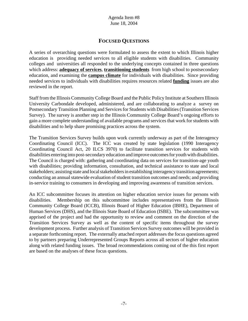# **FOCUSED QUESTIONS**

A series of overarching questions were formulated to assess the extent to which Illinois higher education is providing needed services to all eligible students with disabilities. Community colleges and universities all responded to the underlying concepts contained in three questions which address: **adequacy of services**, **transitioning students** from high school to postsecondary education, and examining the **campus climate** for individuals with disabilities. Since providing needed services to individuals with disabilities requires resources related **funding** issues are also reviewed in the report.

Staff from the Illinois Community College Board and the Public Policy Institute at Southern Illinois University Carbondale developed, administered, and are collaborating to analyze a survey on Postsecondary Transition Planning and Services for Students with Disabilities (Transition Services Survey). The survey is another step in the Illinois Community College Board's ongoing efforts to gain a more complete understanding of available programs and services that work for students with disabilities and to help share promising practices across the system.

The Transition Services Survey builds upon work currently underway as part of the Interagency Coordinating Council (ICC). The ICC was created by state legislation (1990 Interagency Coordinating Council Act, 20 ILCS 3970) to facilitate transition services for students with disabilities entering into post-secondary education and improve outcomes for youth with disabilities. The Council is charged with: gathering and coordinating data on services for transition-age youth with disabilities; providing information, consultation, and technical assistance to state and local stakeholders; assisting state and local stakeholders in establishing interagency transition agreements; conducting an annual statewide evaluation of student transition outcomes and needs; and providing in-service training to consumers in developing and improving awareness of transition services.

An ICC subcommittee focuses its attention on higher education service issues for persons with disabilities. Membership on this subcommittee includes representatives from the Illinois Community College Board (ICCB), Illinois Board of Higher Education (IBHE), Department of Human Services (DHS), and the Illinois State Board of Education (ISBE). The subcommittee was apprised of the project and had the opportunity to review and comment on the direction of the Transition Services Survey as well as the content of specific items throughout the survey development process. Further analysis of Transition Services Survey outcomes will be provided in a separate forthcoming report. The externally attached report addresses the focus questions agreed to by partners preparing Underrepresented Groups Reports across all sectors of higher education along with related funding issues. The broad recommendations coming out of the this first report are based on the analyses of these focus questions.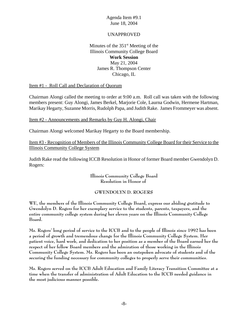## UNAPPROVED

## Minutes of the  $351<sup>st</sup>$  Meeting of the Illinois Community College Board **Work Session** May 21, 2004 James R. Thompson Center Chicago, IL

Item #1 - Roll Call and Declaration of Quorum

Chairman Alongi called the meeting to order at 9:00 a.m. Roll call was taken with the following members present: Guy Alongi, James Berkel, Marjorie Cole, Laurna Godwin, Hermene Hartman, Marikay Hegarty, Suzanne Morris, Rudolph Papa, and Judith Rake. James Frommeyer was absent.

Item #2 - Announcements and Remarks by Guy H. Alongi, Chair

Chairman Alongi welcomed Marikay Hegarty to the Board membership.

Item #3 - Recognition of Members of the Illinois Community College Board for their Service to the Illinois Community College System

Judith Rake read the following ICCB Resolution in Honor of former Board member Gwendolyn D. Rogers:

> **Illinois Community College Board Resolution in Honor of**

#### **GWENDOLYN D. ROGERS**

**WE, the members of the Illinois Community College Board, express our abiding gratitude to Gwendolyn D. Rogers for her exemplary service to the students, parents, taxpayers, and the entire community college system during her eleven years on the Illinois Community College Board.**

**Ms. Rogers' long period of service to the ICCB and to the people of Illinois since 1992 has been a period of growth and tremendous change for the Illinois Community College System. Her patient voice, hard work, and dedication to her position as a member of the Board earned her the respect of her fellow Board members and the admiration of those working in the Illinois Community College System. Ms. Rogers has been an outspoken advocate of students and of the securing the funding necessary for community colleges to properly serve their communities.**

**Ms. Rogers served on the ICCB Adult Education and Family Literacy Transition Committee at a time when the transfer of administration of Adult Education to the ICCB needed guidance in the most judicious manner possible.**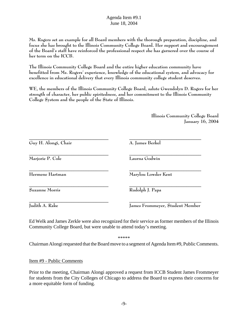**Ms. Rogers set an example for all Board members with the thorough preparation, discipline, and focus she has brought to the Illinois Community College Board. Her support and encouragement of the Board's staff have reinforced the professional respect she has garnered over the course of her term on the ICCB.**

**The Illinois Community College Board and the entire higher education community have benefitted from Ms. Rogers' experience, knowledge of the educational system, and advocacy for excellence in educational delivery that every Illinois community college student deserves.**

**WE, the members of the Illinois Community College Board, salute Gwendolyn D. Rogers for her strength of character, her public spiritedness, and her commitment to the Illinois Community College System and the people of the State of Illinois.**

> **Illinois Community College Board January 16, 2004**

| Guy H. Alongi, Chair | A. James Berkel                 |
|----------------------|---------------------------------|
| Marjorie P. Cole     | Laurna Godwin                   |
| Hermene Hartman      | Marylou Lowder Kent             |
| Suzanne Morris       | Rudolph J. Papa                 |
| Judith A. Rake       | James Frommeyer, Student Member |

Ed Welk and James Zerkle were also recognized for their service as former members of the Illinois Community College Board, but were unable to attend today's meeting.

\*\*\*\*\*

Chairman Alongi requested that the Board move to a segment of Agenda Item #9, Public Comments.

Item #9 - Public Comments

Prior to the meeting, Chairman Alongi approved a request from ICCB Student James Frommeyer for students from the City Colleges of Chicago to address the Board to express their concerns for a more equitable form of funding.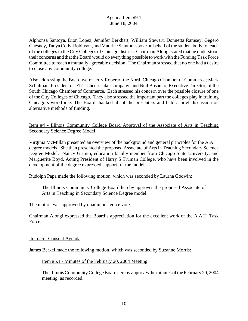Alphonsa Santoya, Dion Lopez, Jennifer Berkhart, William Stewart, Donnetta Ramsey, Gegero Chesney, Tanya Cody-Robinson, and Maurice Stanton, spoke on behalf of the student body for each of the colleges in the City Colleges of Chicago district. Chairman Alongi stated that he understood their concerns and that the Board would do everything possible to work with the Funding Task Force Committee to reach a mutually agreeable decision. The Chairman stressed that no one had a desire to close any community college.

Also addressing the Board were: Jerry Roper of the North Chicago Chamber of Commerce; Mark Schulman, President of Eli's Cheesecake Company; and Neil Bosanko, Executive Director, of the South Chicago Chamber of Commerce. Each stressed his concern over the possible closure of one of the City Colleges of Chicago. They also stressed the important part the colleges play in training Chicago's workforce. The Board thanked all of the presenters and held a brief discussion on alternative methods of funding.

Item #4 - Illinois Community College Board Approval of the Associate of Arts in Teaching Secondary Science Degree Model

Virginia McMillan presented an overview of the background and general principles for the A.A.T. degree models. She then presented the proposed Associate of Arts in Teaching Secondary Science Degree Model. Nancy Grimm, education faculty member from Chicago State University, and Marguerite Boyd, Acting President of Harry S Truman College, who have been involved in the development of the degree expressed support for the model.

Rudolph Papa made the following motion, which was seconded by Laurna Godwin:

The Illinois Community College Board hereby approves the proposed Associate of Arts in Teaching in Secondary Science Degree model.

The motion was approved by unanimous voice vote.

Chairman Alongi expressed the Board's appreciation for the excellent work of the A.A.T. Task Force.

#### Item #5 - Consent Agenda

James Berkel made the following motion, which was seconded by Suzanne Morris:

#### Item #5.1 - Minutes of the February 20, 2004 Meeting

The Illinois Community College Board hereby approves the minutes of the February 20, 2004 meeting, as recorded.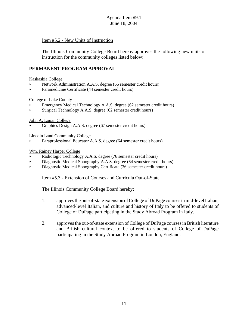### Item #5.2 - New Units of Instruction

The Illinois Community College Board hereby approves the following new units of instruction for the community colleges listed below:

## **PERMANENT PROGRAM APPROVAL**

#### Kaskaskia College

- < Network Administration A.A.S. degree (66 semester credit hours)
- < Paramedicine Certificate (44 semester credit hours)

#### College of Lake County

- < Emergency Medical Technology A.A.S. degree (62 semester credit hours)
- Surgical Technology A.A.S. degree (62 semester credit hours)

#### John A. Logan College

< Graphics Design A.A.S. degree (67 semester credit hours)

Lincoln Land Community College

Paraprofessional Educator A.A.S. degree (64 semester credit hours)

#### Wm. Rainey Harper College

- < Radiologic Technology A.A.S. degree (76 semester credit hours)
- < Diagnostic Medical Sonography A.A.S. degree (64 semester credit hours)
- < Diagnostic Medical Sonography Certificate (36 semester credit hours)

#### Item #5.3 - Extension of Courses and Curricula Out-of-State

The Illinois Community College Board hereby:

- 1. approves the out-of-state extension of College of DuPage courses in mid-level Italian, advanced-level Italian, and culture and history of Italy to be offered to students of College of DuPage participating in the Study Abroad Program in Italy.
- 2. approves the out-of-state extension of College of DuPage courses in British literature and British cultural context to be offered to students of College of DuPage participating in the Study Abroad Program in London, England.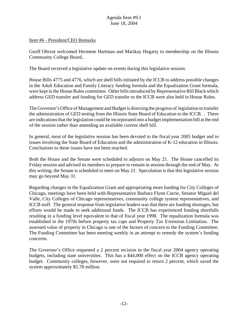#### Item #6 - President/CEO Remarks

Geoff Obrzut welcomed Hermene Hartman and Marikay Hegarty to membership on the Illinois Community College Board..

The Board received a legislative update on events during this legislative session.

House Bills 4775 and 4776, which are shell bills initiated by the ICCB to address possible changes in the Adult Education and Family Literacy funding formula and the Equalization Grant formula, were kept in the House Rules committee. Other bills introduced by Representative Bill Black which address GED transfer and funding for GED transfer to the ICCB were also held in House Rules.

The Governor's Office of Management and Budget is directing the progress of legislation to transfer the administration of GED testing from the Illinois State Board of Education to the ICCB. . There are indications that the legislation could be incorporated into a budget implementation bill at the end of the session rather than amending an available current shell bill.

In general, most of the legislative session has been devoted to the fiscal year 2005 budget and to issues involving the State Board of Education and the administration of K-12 education in Illinois. Conclusions to these issues have not been reached.

Both the House and the Senate were scheduled to adjourn on May 21. The House cancelled its Friday session and advised its members to prepare to remain in session through the end of May. At this writing, the Senate is scheduled to meet on May 21. Speculation is that this legislative session may go beyond May 31.

Regarding changes in the Equalization Grant and appropriating more funding for City Colleges of Chicago, meetings have been held with Representative Barbara Flynn Currie, Senator Miguel del Valle, City Colleges of Chicago representatives, community college system representatives, and ICCB staff. The general response from legislative leaders was that there are funding shortages, but efforts would be made to seek additional funds. The ICCB has experienced funding shortfalls resulting in a funding level equivalent to that of fiscal year 1998. The equalization formula was established in the 1970s before property tax caps and Property Tax Extension Limitation. The assessed value of property in Chicago is one of the factors of concern to the Funding Committee. The Funding Committee has been meeting weekly in an attempt to remedy the system's funding concerns.

The Governor's Office requested a 2 percent recision in the fiscal year 2004 agency operating budgets, including state universities. This has a \$44,000 effect on the ICCB agency operating budget. Community colleges, however, were not required to return 2 percent, which saved the system approximately \$5.78 million.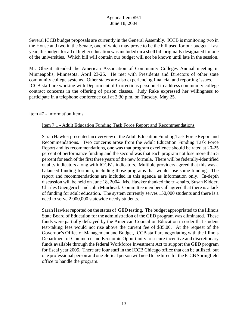Several ICCB budget proposals are currently in the General Assembly. ICCB is monitoring two in the House and two in the Senate, one of which may prove to be the bill used for our budget. Last year, the budget for all of higher education was included on a shell bill originally designated for one of the universities. Which bill will contain our budget will not be known until late in the session.

Mr. Obrzut attended the American Association of Community Colleges Annual meeting in Minneapolis, Minnesota, April 23-26. He met with Presidents and Directors of other state community college systems. Other states are also experiencing financial and reporting issues. ICCB staff are working with Department of Corrections personnel to address community college contract concerns in the offering of prison classes. Judy Rake expressed her willingness to participate in a telephone conference call at 2:30 p.m. on Tuesday, May 25.

## Item #7 - Information Items

## Item 7.1 - Adult Education Funding Task Force Report and Recommendations

Sarah Hawker presented an overview of the Adult Education Funding Task Force Report and Recommendations. Two concerns arose from the Adult Education Funding Task Force Report and its recommendations, one was that program excellence should be rated at 20-25 percent of performance funding and the second was that each program not lose more than 5 percent for each of the first three years of the new formula. There will be federally-identified quality indicators along with ICCB's indicators. Multiple providers agreed that this was a balanced funding formula, including those programs that would lose some funding. The report and recommendations are included in this agenda as information only. In-depth discussion will be held on June 18, 2004. Ms. Hawker thanked the tri-chairs, Susan Kidder, Charles Guengerich and John Muirhead. Committee members all agreed that there is a lack of funding for adult education. The system currently serves 150,000 students and there is a need to serve 2,000,000 statewide needy students.

Sarah Hawker reported on the status of GED testing. The budget appropriated to the Illinois State Board of Education for the administration of the GED program was eliminated. These funds were partially defrayed by the American Council on Education in order that student test-taking fees would not rise above the current fee of \$35.00. At the request of the Governor's Office of Management and Budget, ICCB staff are negotiating with the Illinois Department of Commerce and Economic Opportunity to secure incentive and discretionary funds available through the federal Workforce Investment Act to support the GED program for fiscal year 2005. There are four staff in the ICCB Chicago office that can be utilized, but one professional person and one clerical person will need to be hired for the ICCB Springfield office to handle the program.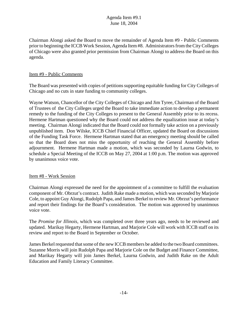Chairman Alongi asked the Board to move the remainder of Agenda Item #9 - Public Comments prior to beginning the ICCB Work Session, Agenda Item #8. Administrators from the City Colleges of Chicago were also granted prior permission from Chairman Alongi to address the Board on this agenda.

## Item #9 - Public Comments

The Board was presented with copies of petitions supporting equitable funding for City Colleges of Chicago and no cuts in state funding to community colleges.

Wayne Watson, Chancellor of the City Colleges of Chicago and Jim Tyree, Chairman of the Board of Trustees of the City Colleges urged the Board to take immediate action to develop a permanent remedy to the funding of the City Colleges to present to the General Assembly prior to its recess. Hermene Hartman questioned why the Board could not address the equalization issue at today's meeting. Chairman Alongi indicated that the Board could not formally take action on a previously unpublished item. Don Wilske, ICCB Chief Financial Officer, updated the Board on discussions of the Funding Task Force. Hermene Hartman stated that an emergency meeting should be called so that the Board does not miss the opportunity of reaching the General Assembly before adjournment. Hermene Hartman made a motion, which was seconded by Laurna Godwin, to schedule a Special Meeting of the ICCB on May 27, 2004 at 1:00 p.m. The motion was approved by unanimous voice vote.

#### Item #8 - Work Session

Chairman Alongi expressed the need for the appointment of a committee to fulfill the evaluation component of Mr. Obrzut's contract. Judith Rake made a motion, which was seconded by Marjorie Cole, to appoint Guy Alongi, Rudolph Papa, and James Berkel to review Mr. Obrzut's performance and report their findings for the Board's consideration. The motion was approved by unanimous voice vote.

The *Promise for Illinois*, which was completed over three years ago, needs to be reviewed and updated. Marikay Hegarty, Hermene Hartman, and Marjorie Cole will work with ICCB staff on its review and report to the Board in September or October.

James Berkel requested that some of the new ICCB members be added to the two Board committees. Suzanne Morris will join Rudolph Papa and Marjorie Cole on the Budget and Finance Committee, and Marikay Hegarty will join James Berkel, Laurna Godwin, and Judith Rake on the Adult Education and Family Literacy Committee.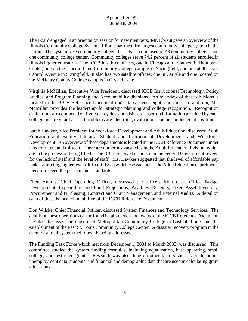The Board engaged in an orientation session for new members. Mr. Obrzut gave an overview of the Illinois Community College System. Illinois has the third largest community college system in the nation. The system's 39 community college districts is composed of 48 community colleges and one community college center. Community colleges serve 74.2 percent of all students enrolled in Illinois higher education. The ICCB has three offices, one in Chicago at the James R. Thompson Center, one on the Lincoln Land Community College campus in Springfield, and one at 401 East Capitol Avenue in Springfield. It also has two satellite offices: one in Carlyle and one located on the McHenry County College campus in Crystal Lake.

Virginia McMillan, Executive Vice President, discussed ICCB Instructional Technology, Policy Studies, and Program Planning and Accountability divisions. An overview of these divisions is located in the ICCB Reference Document under tabs seven, eight, and nine. In addition, Ms. McMillan provides the leadership for strategic planning and college recognition. Recognition evaluations are conducted on five-year cycles, and visits are based on information provided by each college on a regular basis. If problems are identified, evaluations can be conducted at any time.

Sarah Hawker, Vice President for Workforce Development and Adult Education, discussed Adult Education and Family Literacy, Student and Instructional Development, and Workforce Development. An overview of these departments is located in the ICCB Reference Document under tabs four, ten, and thirteen. There are numerous vacancies in the Adult Education division, which are in the process of being filled. The ICCB received criticism in the Federal Government revewi for the lack of staff and the level of staff. Ms. Hawker suggested that the level of affordable pay makes attracting higher levels difficult. Even with these vacancies, the Adult Education departments meet or exceed the performance standards.

Ellen Andres, Chief Operating Officer, discussed the office's front desk, Office Budget Development, Expenditure and Fund Projections, Payables, Receipts, Fixed Asset Inventory, Procurement and Purchasing, Contract and Grant Management, and External Audits. A detail on each of these is located in tab five of the ICCB Reference Document.

Don Wilske, Chief Financial Officer, discussed System Finances and Technology Services. The details on these operations can be found in tabs eleven and twelve of the ICCB Reference Document. He also discussed the closure of Metropolitan Community College in East St. Louis and the establshment of the East St. Louis Community College Center. A disaster recovery program in the event of a total system melt down is being addressed.

The Funding Task Force which met from December 1, 2001 to March 2003 was discussed. This committee studied the system funding formulas, including equalization, base operating, small college, and restricted grants. Research was also done on other factors such as credit hours, unemployment data, students, and financial and demographic data that are used in calculating grant allocations.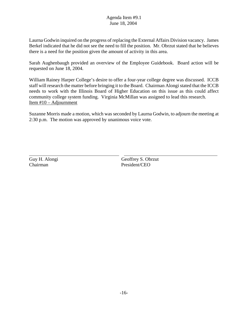Laurna Godwin inquired on the progress of replacing the External Affairs Division vacancy. James Berkel indicated that he did not see the need to fill the position. Mr. Obrzut stated that he believes there is a need for the position given the amount of activity in this area.

Sarah Aughenbaugh provided an overview of the Employee Guidebook. Board action will be requested on June 18, 2004.

William Rainey Harper College's desire to offer a four-year college degree was discussed. ICCB staff will research the matter before bringing it to the Board. Chairman Alongi stated that the ICCB needs to work with the Illinois Board of Higher Education on this issue as this could affect community college system funding. Virginia McMillan was assigned to lead this research. Item #10 – Adjournment

Suzanne Morris made a motion, which was seconded by Laurna Godwin, to adjourn the meeting at 2:30 p.m. The motion was approved by unanimous voice vote.

Chairman President/CEO

 $\overline{a}$ 

Guy H. Alongi Geoffrey S. Obrzut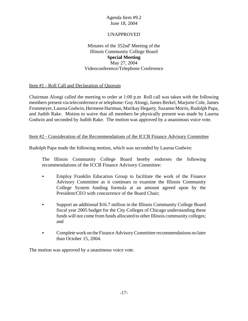## UNAPPROVED

## Minutes of the 352nd<sup>t</sup> Meeting of the Illinois Community College Board **Special Meeting** May 27, 2004 Videoconference/Telephone Conference

## Item #1 - Roll Call and Declaration of Quorum

Chairman Alongi called the meeting to order at 1:00 p.m Roll call was taken with the following members present via teleconfernece or telephone: Guy Alongi, James Berkel, Marjorie Cole, James Frommeyer, Laurna Godwin, Hermene Hartman, Marikay Hegarty, Suzanne Morris, Rudolph Papa, and Judith Rake. Motion to waive that all members be physically present was made by Laurna Godwin and seconded by Judith Rake. The motion was approved by a unanimous voice vote.

#### Item #2 - Consideration of the Recommendations of the ICCB Finance Advisory Committee

Rudolph Papa made the following motion, which was seconded by Laurna Godwin:

The Illinois Community College Board hereby endorses the following recommendations of the ICCB Finance Advisory Committee:

- $\blacktriangleright$  Employ Franklin Education Group to facilitate the work of the Finance Advisory Committee as it continues to examine the Illinois Community College System funding formula at an amount agreed upon by the President/CEO with concurrence of the Board Chair;
- < Support an additional \$16.7 million in the Illinois Community College Board fiscal year 2005 budget for the City Colleges of Chicago understanding these funds will not come from funds allocated to other Illinois community colleges; and
- **Example 1** Complete work on the Finance Advisory Committee recommendations no later than October 15, 2004.

The motion was approved by a unanimous voice vote.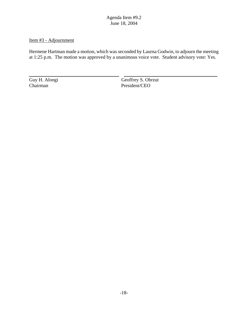## Item #3 - Adjournment

Hermene Hartman made a motion, which was seconded by Laurna Godwin, to adjourn the meeting at 1:25 p.m. The motion was approved by a unanimous voice vote. Student advisory vote: Yes.

 $\overline{a}$ 

Guy H. Alongi Geoffrey S. Obrzut President/CEO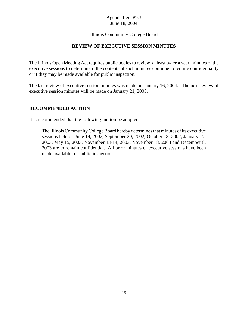## Illinois Community College Board

## **REVIEW OF EXECUTIVE SESSION MINUTES**

The Illinois Open Meeting Act requires public bodies to review, at least twice a year, minutes of the executive sessions to determine if the contents of such minutes continue to require confidentiality or if they may be made available for public inspection.

The last review of executive session minutes was made on January 16, 2004. The next review of executive session minutes will be made on January 21, 2005.

#### **RECOMMENDED ACTION**

It is recommended that the following motion be adopted:

The Illinois Community College Board hereby determines that minutes of its executive sessions held on June 14, 2002, September 20, 2002, October 18, 2002, January 17, 2003, May 15, 2003, November 13-14, 2003, November 18, 2003 and December 8, 2003 are to remain confidential. All prior minutes of executive sessions have been made available for public inspection.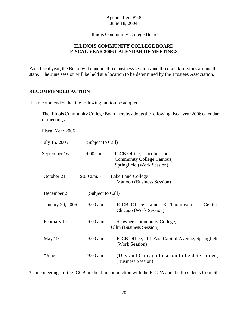Illinois Community College Board

## **ILLINOIS COMMUNITY COLLEGE BOARD FISCAL YEAR 2006 CALENDAR OF MEETINGS**

Each fiscal year, the Board will conduct three business sessions and three work sessions around the state. The June session will be held at a location to be determined by the Trustees Association.

## **RECOMMENDED ACTION**

It is recommended that the following motion be adopted:

The Illinois Community College Board hereby adopts the following fiscal year 2006 calendar of meetings.

Fiscal Year 2006

| July 15, 2005    | (Subject to Call) |                                                                                      |
|------------------|-------------------|--------------------------------------------------------------------------------------|
| September 16     | $9:00$ a.m. -     | ICCB Office, Lincoln Land<br>Community College Campus,<br>Springfield (Work Session) |
| October 21       | $9:00$ a.m. -     | Lake Land College<br><b>Mattoon (Business Session)</b>                               |
| December 2       | (Subject to Call) |                                                                                      |
| January 20, 2006 | $9:00$ a.m. -     | ICCB Office, James R. Thompson<br>Center,<br>Chicago (Work Session)                  |
| February 17      | $9:00$ a.m. -     | <b>Shawnee Community College,</b><br><b>Ullin (Business Session)</b>                 |
| May 19           | $9:00$ a.m. -     | ICCB Office, 401 East Capitol Avenue, Springfield<br>(Work Session)                  |
| *June            | $9:00$ a.m. -     | (Day and Chicago location to be determined)<br>(Business Session)                    |

\* June meetings of the ICCB are held in conjunction with the ICCTA and the Presidents Council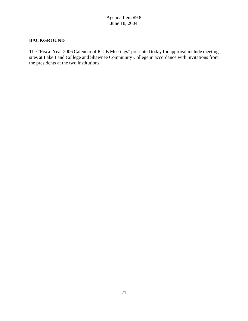## **BACKGROUND**

The "Fiscal Year 2006 Calendar of ICCB Meetings" presented today for approval include meeting sites at Lake Land College and Shawnee Community College in accordance with invitations from the presidents at the two institutions.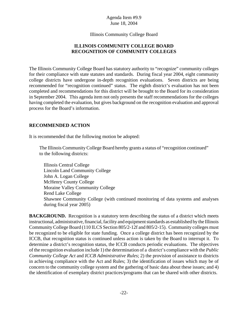Illinois Community College Board

## **ILLINOIS COMMUNITY COLLEGE BOARD RECOGNITION OF COMMUNITY COLLEGES**

The Illinois Community College Board has statutory authority to "recognize" community colleges for their compliance with state statutes and standards. During fiscal year 2004, eight community college districts have undergone in-depth recognition evaluations. Seven districts are being recommended for "recognition continued" status. The eighth district's evaluation has not been completed and recommendations for this district will be brought to the Board for its consideration in September 2004. This agenda item not only presents the staff recommendations for the colleges having completed the evaluation, but gives background on the recognition evaluation and approval process for the Board's information.

## **RECOMMENDED ACTION**

It is recommended that the following motion be adopted:

The Illinois Community College Board hereby grants a status of "recognition continued" to the following districts:

Illinois Central College Lincoln Land Community College John A. Logan College McHenry County College Moraine Valley Community College Rend Lake College Shawnee Community College (with continued monitoring of data systems and analyses during fiscal year 2005)

**BACKGROUND.** Recognition is a statutory term describing the status of a district which meets instructional, administrative, financial, facility and equipment standards as established by the Illinois Community College Board (110 ILCS Section 805/2-12f and 805/2-15). Community colleges must be recognized to be eligible for state funding. Once a college district has been recognized by the ICCB, that recognition status is continued unless action is taken by the Board to interrupt it. To determine a district's recognition status, the ICCB conducts periodic evaluations. The objectives of the recognition evaluation include 1) the determination of a district's compliance with the *Public Community College Act* and *ICCB Administrative Rules*; 2) the provision of assistance to districts in achieving compliance with the Act and Rules; 3) the identification of issues which may be of concern to the community college system and the gathering of basic data about these issues; and 4) the identification of exemplary district practices/programs that can be shared with other districts.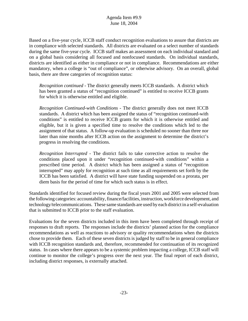Based on a five-year cycle, ICCB staff conduct recognition evaluations to assure that districts are in compliance with selected standards. All districts are evaluated on a select number of standards during the same five-year cycle. ICCB staff makes an assessment on each individual standard and on a global basis considering all focused and nonfocused standards. On individual standards, districts are identified as either in compliance or not in compliance. Recommendations are either mandatory, when a college is "out of compliance", or otherwise advisory. On an overall, global basis, there are three categories of recognition status:

*Recognition continued* - The district generally meets ICCB standards. A district which has been granted a status of "recognition continued" is entitled to receive ICCB grants for which it is otherwise entitled and eligible.

*Recognition Continued-with Conditions* - The district generally does not meet ICCB standards. A district which has been assigned the status of "recognition continued-with conditions" is entitled to receive ICCB grants for which it is otherwise entitled and eligible, but it is given a specified time to resolve the conditions which led to the assignment of that status. A follow-up evaluation is scheduled no sooner than three nor later than nine months after ICCB action on the assignment to determine the district's progress in resolving the conditions.

*Recognition Interrupted* - The district fails to take corrective action to resolve the conditions placed upon it under "recognition continued-with conditions" within a prescribed time period. A district which has been assigned a status of "recognition interrupted" may apply for recognition at such time as all requirements set forth by the ICCB has been satisfied. A district will have state funding suspended on a prorata, per diem basis for the period of time for which such status is in effect.

Standards identified for focused review during the fiscal years 2001 and 2005 were selected from the following categories: accountability, finance/facilities, instruction, workforce development, and technology/telecommunications. These same standards are used by each district in a self-evaluation that is submitted to ICCB prior to the staff evaluation.

Evaluations for the seven districts included in this item have been completed through receipt of responses to draft reports. The responses include the districts' planned action for the compliance recommendations as well as reactions to advisory or quality recommendations when the districts chose to provide them. Each of these seven districts is judged by staff to be in general compliance with ICCB recognition standards and, therefore, recommended for continuation of its recognized status. In cases where there appears to be a systemic problem impacting a college, ICCB staff will continue to monitor the college's progress over the next year. The final report of each district, including district responses, is externally attached.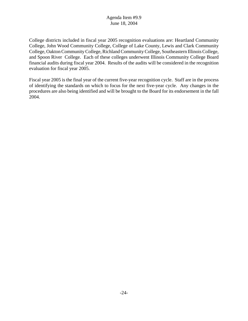College districts included in fiscal year 2005 recognition evaluations are: Heartland Community College, John Wood Community College, College of Lake County, Lewis and Clark Community College, Oakton Community College, Richland Community College, Southeastern Illinois College, and Spoon River College. Each of these colleges underwent Illinois Community College Board financial audits during fiscal year 2004. Results of the audits will be considered in the recognition evaluation for fiscal year 2005.

Fiscal year 2005 is the final year of the current five-year recognition cycle. Staff are in the process of identifying the standards on which to focus for the next five-year cycle. Any changes in the procedures are also being identified and will be brought to the Board for its endorsement in the fall 2004.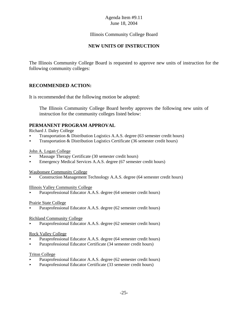## Illinois Community College Board

## **NEW UNITS OF INSTRUCTION**

The Illinois Community College Board is requested to approve new units of instruction for the following community colleges:

## **RECOMMENDED ACTION:**

It is recommended that the following motion be adopted:

The Illinois Community College Board hereby approves the following new units of instruction for the community colleges listed below:

## **PERMANENT PROGRAM APPROVAL**

Richard J. Daley College

- < Transportation & Distribution Logistics A.A.S. degree (63 semester credit hours)
- < Transportation & Distribution Logistics Certificate (36 semester credit hours)

#### John A. Logan College

- < Massage Therapy Certificate (30 semester credit hours)
- < Emergency Medical Services A.A.S. degree (67 semester credit hours)

#### Waubonsee Community College

< Construction Management Technology A.A.S. degree (64 semester credit hours)

#### Illinois Valley Community College

Paraprofessional Educator A.A.S. degree (64 semester credit hours)

#### Prairie State College

Paraprofessional Educator A.A.S. degree (62 semester credit hours)

#### Richland Community College

Paraprofessional Educator A.A.S. degree (62 semester credit hours)

#### Rock Valley College

- Paraprofessional Educator A.A.S. degree (64 semester credit hours)
- < Paraprofessional Educator Certificate (34 semester credit hours)

#### Triton College

- Paraprofessional Educator A.A.S. degree (62 semester credit hours)
- < Paraprofessional Educator Certificate (33 semester credit hours)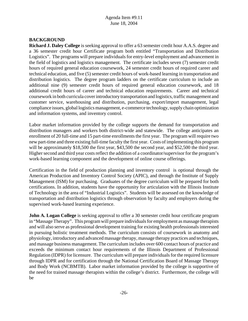# **BACKGROUND**

**Richard J. Daley College** is seeking approval to offer a 63 semester credit hour A.A.S. degree and a 36 semester credit hour Certificate program both entitled "Transportation and Distribution Logistics". The programs will prepare individuals for entry-level employment and advancement in the field of logistics and logistics management. The certificate includes seven (7) semester credit hours of required general education coursework, 24 semester credit hours of required career and technical education, and five (5) semester credit hours of work-based learning in transportation and distribution logistics. The degree program ladders on the certificate curriculum to include an additional nine (9) semester credit hours of required general education coursework, and 18 additional credit hours of career and technical education requirements. Career and technical coursework in both curricula cover introductory transportation and logistics, traffic management and customer service, warehousing and distribution, purchasing, export/import management, legal compliance issues, global logistics management, e-commerce technology, supply chain optimization and information systems, and inventory control.

Labor market information provided by the college supports the demand for transportation and distribution managers and workers both district-wide and statewide. The college anticipates an enrollment of 20 full-time and 15 part-time enrollments the first year. The program will require two new part-time and three existing full-time faculty the first year. Costs of implementing this program will be approximately \$18,500 the first year, \$43,500 the second year, and \$52,500 the third year. Higher second and third year costs reflect the addition of a coordinator/supervisor for the program's work-based learning component and the development of online course offerings.

Certification in the field of production planning and inventory control is optional through the American Production and Inventory Control Society (APIC), and through the Institute of Supply Management (ISM) for purchasing. Graduates of the degree curriculum will be prepared for both certifications. In addition, students have the opportunity for articulation with the Illinois Institute of Technology in the area of "Industrial Logistics". Students will be assessed on the knowledge of transportation and distribution logistics through observation by faculty and employers during the supervised work-based learning experience.

**John A. Logan College** is seeking approval to offer a 30 semester credit hour certificate program in "Massage Therapy". This program will prepare individuals for employment as massage therapists and will also serve as professional development training for existing health professionals interested in pursuing holistic treatment methods. The curriculum consists of coursework in anatomy and physiology, introductory and advanced massage therapy, massage therapy practices and techniques, and massage business management. The curriculum includes over 600 contact hours of practice and exceeds the minimum contact hour requirements of the Illinois Department of Professional Regulation (IDPR) for licensure. The curriculum will prepare individuals for the required licensure through IDPR and for certification through the National Certification Board of Massage Therapy and Body Work (NCBMTB). Labor market information provided by the college is supportive of the need for trained massage therapists within the college's district. Furthermore, the college will be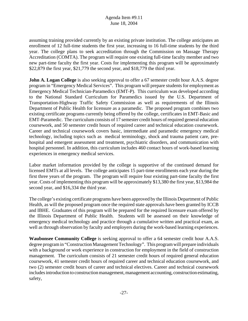assuming training provided currently by an existing private institution. The college anticipates an enrollment of 12 full-time students the first year, increasing to 16 full-time students by the third year. The college plans to seek accreditation through the Commission on Massage Therapy Accreditation (COMTA). The program will require one existing full-time faculty member and two new part-time faculty the first year. Costs for implementing this program will be approximately \$22,879 the first year, \$21,779 the second year, and \$18,779 the third year.

**John A. Logan College** is also seeking approval to offer a 67 semester credit hour A.A.S. degree program in "Emergency Medical Services". This program will prepare students for employment as Emergency Medical Technician-Paramedics (EMT-P). This curriculum was developed according to the National Standard Curriculum for Paramedics issued by the U.S. Department of Transportation-Highway Traffic Safety Commission as well as requirements of the Illinois Department of Public Health for licensure as a paramedic. The proposed program combines two existing certificate programs currently being offered by the college, certificates in EMT-Basic and EMT-Paramedic. The curriculum consists of 17 semester credit hours of required general education coursework, and 50 semester credit hours of required career and technical education coursework. Career and technical coursework covers basic, intermediate and paramedic emergency medical technology, including topics such as medical terminology, shock and trauma patient care, prehospital and emergent assessment and treatment, psychiatric disorders, and communication with hospital personnel. In addition, this curriculum includes 460 contact hours of work-based learning experiences in emergency medical services.

Labor market information provided by the college is supportive of the continued demand for licensed EMTs at all levels. The college anticipates 15 part-time enrollments each year during the first three years of the program. The program will require four existing part-time faculty the first year. Costs of implementing this program will be approximately \$13,380 the first year, \$13,984 the second year, and \$16,334 the third year.

The college's existing certificate programs have been approved by the Illinois Department of Public Health, as will the proposed program once the required state approvals have been granted by ICCB and IBHE. Graduates of this program will be prepared for the required licensure exam offered by the Illinois Department of Public Health. Students will be assessed on their knowledge of emergency medical technology and practice through a cumulative written and practical exam, as well as through observation by faculty and employers during the work-based learning experiences.

**Waubonsee Community College** is seeking approval to offer a 64 semester credit hour A.A.S. degree program in "Construction Management Technology". This program will prepare individuals with a background or work experience in construction for employment in the field of construction management. The curriculum consists of 21 semester credit hours of required general education coursework, 41 semester credit hours of required career and technical education coursework, and two (2) semester credit hours of career and technical electives. Career and technical coursework includes introduction to construction management, management accounting, construction estimating, safety,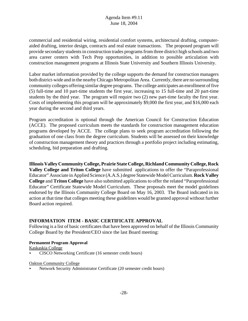commercial and residential wiring, residential comfort systems, architectural drafting, computeraided drafting, interior design, contracts and real estate transactions. The proposed program will provide secondary students in construction trades programs from three district high schools and two area career centers with Tech Prep opportunities, in addition to possible articulation with construction management programs at Illinois State University and Southern Illinois University.

Labor market information provided by the college supports the demand for construction managers both district-wide and in the nearby Chicago Metropolitan Area. Currently, there are no surrounding community colleges offering similar degree programs. The college anticipates an enrollment of five (5) full-time and 10 part-time students the first year, increasing to 15 full-time and 20 part-time students by the third year. The program will require two (2) new part-time faculty the first year. Costs of implementing this program will be approximately \$9,000 the first year, and \$16,000 each year during the second and third years.

Program accreditation is optional through the American Council for Construction Education (ACCE). The proposed curriculum meets the standards for construction management education programs developed by ACCE. The college plans to seek program accreditation following the graduation of one class from the degree curriculum. Students will be assessed on their knowledge of construction management theory and practices through a portfolio project including estimating, scheduling, bid preparation and drafting.

**Illinois Valley Community College, Prairie State College, Richland Community College, Rock Valley College and Triton College** have submitted applications to offer the "Paraprofessional Educator" Associate in Applied Science (A.A.S.) degree Statewide Model Curriculum. **Rock Valley College** and **Triton College** have also submitted applications to offer the related "Paraprofessional Educator" Certificate Statewide Model Curriculum. These proposals meet the model guidelines endorsed by the Illinois Community College Board on May 16, 2003. The Board indicated in its action at that time that colleges meeting these guidelines would be granted approval without further Board action required.

## **INFORMATION ITEM - BASIC CERTIFICATE APPROVAL**

Following is a list of basic certificates that have been approved on behalf of the Illinois Community College Board by the President/CEO since the last Board meeting:

#### **Permanent Program Approval**

Kaskaskia College

< CISCO Networking Certificate (16 semester credit hours)

#### Oakton Community College

< Network Security Administrator Certificate (20 semester credit hours)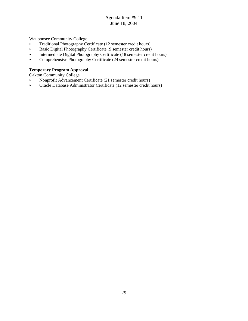Waubonsee Community College

- $\blacktriangleright$  Traditional Photography Certificate (12 semester credit hours)
- **Basic Digital Photography Certificate (9 semester credit hours)**
- **Example 12** Intermediate Digital Photography Certificate (18 semester credit hours)
- < Comprehensive Photography Certificate (24 semester credit hours)

#### **Temporary Program Approval**

Oakton Community College

- Nonprofit Advancement Certificate (21 semester credit hours)
- < Oracle Database Administrator Certificate (12 semester credit hours)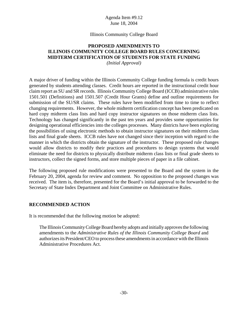#### Illinois Community College Board

# **PROPOSED AMENDMENTS TO ILLINOIS COMMUNITY COLLEGE BOARD RULES CONCERNING MIDTERM CERTIFICATION OF STUDENTS FOR STATE FUNDING**

*(Initial Approval)*

A major driver of funding within the Illinois Community College funding formula is credit hours generated by students attending classes. Credit hours are reported in the instructional credit hour claim report as SU and SR records. Illinois Community College Board (ICCB) administrative rules 1501.501 (Definitions) and 1501.507 (Credit Hour Grants) define and outline requirements for submission of the SU/SR claims. These rules have been modified from time to time to reflect changing requirements. However, the whole midterm certification concept has been predicated on hard copy midterm class lists and hard copy instructor signatures on those midterm class lists. Technology has changed significantly in the past ten years and provides some opportunities for designing operational efficiencies into the colleges processes. Many districts have been exploring the possibilities of using electronic methods to obtain instructor signatures on their midterm class lists and final grade sheets. ICCB rules have not changed since their inception with regard to the manner in which the districts obtain the signature of the instructor. These proposed rule changes would allow districts to modify their practices and procedures to design systems that would eliminate the need for districts to physically distribute midterm class lists or final grade sheets to instructors, collect the signed forms, and store multiple pieces of paper in a file cabinet.

The following proposed rule modifications were presented to the Board and the system in the February 20, 2004, agenda for review and comment. No opposition to the proposed changes was received. The item is, therefore, presented for the Board's initial approval to be forwarded to the Secretary of State Index Department and Joint Committee on Administrative Rules.

#### **RECOMMENDED ACTION**

It is recommended that the following motion be adopted:

The Illinois Community College Board hereby adopts and initially approves the following amendments to the *Administrative Rules of the Illinois Community College Board* and authorizes its President/CEO to process these amendments in accordance with the Illinois Administrative Procedures Act.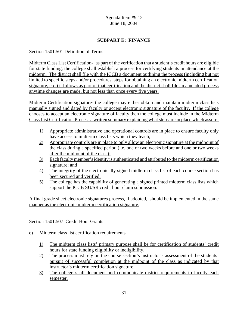# **SUBPART E: FINANCE**

Section 1501.501 Definition of Terms

Midterm Class List Certification- as part of the verification that a student's credit hours are eligible for state funding, the college shall establish a process for certifying students in attendance at the midterm. The district shall file with the ICCB a document outlining the process (including but not limited to specific steps and/or procedures, steps for obtaining an electronic midterm certification signature, etc.) it follows as part of that certification and the district shall file an amended process anytime changes are made, but not less than once every five years.

Midterm Certification signature- the college may either obtain and maintain midterm class lists manually signed and dated by faculty or accept electronic signature of the faculty. If the college chooses to accept an electronic signature of faculty then the college must include in the Midterm Class List Certification Process a written summary explaining what steps are in place which assure:

- 1) Appropriate administrative and operational controls are in place to ensure faculty only have access to midterm class lists which they teach;
- 2) Appropriate controls are in place to only allow an electronic signature at the midpoint of the class during a specified period (i.e. one or two weeks before and one or two weeks after the midpoint of the class);
- 3) Each faculty member's identity is authenticated and attributed to the midterm certification signature; and
- 4) The integrity of the electronically signed midterm class list of each course section has been secured and verified;
- 5) The college has the capability of generating a signed printed midterm class lists which support the ICCB SU/SR credit hour claim submission.

A final grade sheet electronic signatures process, if adopted, should be implemented in the same manner as the electronic midterm certification signature.

Section 1501.507 Credit Hour Grants

## e) Midterm class list certification requirements

- 1) The midterm class lists' primary purpose shall be for certification of students' credit hours for state funding eligibility or ineligibility.
- 2) The process must rely on the course section's instructor's assessment of the students' pursuit of successful completion at the midpoint of the class as indicated by that instructor's midterm certification signature.
- 3) The college shall document and communicate district requirements to faculty each semester.